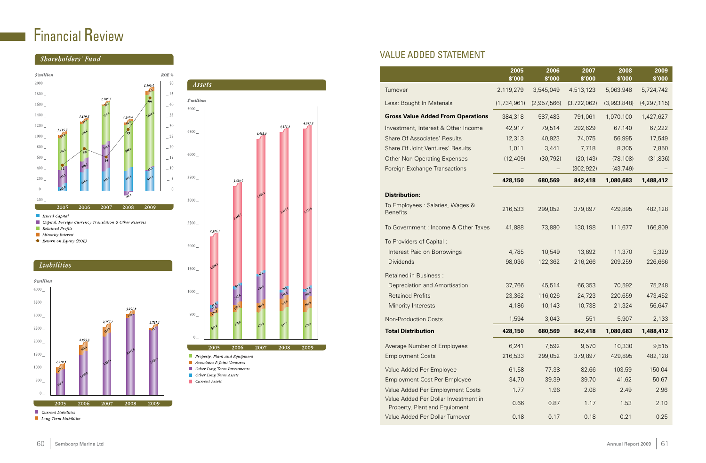### VALUE ADDED STATEMENT

|                                                                       | 2005<br>\$'000 | 2006<br>\$'000 | 2007<br>\$'000 | 2008<br>\$'000 | 2009<br>\$'000 |
|-----------------------------------------------------------------------|----------------|----------------|----------------|----------------|----------------|
| Turnover                                                              | 2,119,279      | 3,545,049      | 4,513,123      | 5,063,948      | 5,724,742      |
| Less: Bought In Materials                                             | (1,734,961)    | (2,957,566)    | (3,722,062)    | (3,993,848)    | (4, 297, 115)  |
| <b>Gross Value Added From Operations</b>                              | 384,318        | 587,483        | 791,061        | 1,070,100      | 1,427,627      |
| Investment, Interest & Other Income                                   | 42,917         | 79,514         | 292,629        | 67,140         | 67,222         |
| <b>Share Of Associates' Results</b>                                   | 12,313         | 40,923         | 74,075         | 56,995         | 17,549         |
| Share Of Joint Ventures' Results                                      | 1,011          | 3,441          | 7,718          | 8,305          | 7,850          |
| <b>Other Non-Operating Expenses</b>                                   | (12, 409)      | (30, 792)      | (20, 143)      | (78, 108)      | (31, 836)      |
| <b>Foreign Exchange Transactions</b>                                  |                |                | (302, 922)     | (43, 749)      |                |
|                                                                       | 428,150        | 680,569        | 842,418        | 1,080,683      | 1,488,412      |
| <b>Distribution:</b>                                                  |                |                |                |                |                |
| To Employees : Salaries, Wages &<br><b>Benefits</b>                   | 216,533        | 299,052        | 379,897        | 429,895        | 482,128        |
| To Government : Income & Other Taxes                                  | 41,888         | 73,880         | 130,198        | 111,677        | 166,809        |
| To Providers of Capital:                                              |                |                |                |                |                |
| Interest Paid on Borrowings                                           | 4,785          | 10,549         | 13,692         | 11,370         | 5,329          |
| <b>Dividends</b>                                                      | 98,036         | 122,362        | 216,266        | 209,259        | 226,666        |
| <b>Retained in Business:</b>                                          |                |                |                |                |                |
| Depreciation and Amortisation                                         | 37,766         | 45,514         | 66,353         | 70,592         | 75,248         |
| <b>Retained Profits</b>                                               | 23,362         | 116,026        | 24,723         | 220,659        | 473,452        |
| Minority Interests                                                    | 4,186          | 10,143         | 10,738         | 21,324         | 56,647         |
| <b>Non-Production Costs</b>                                           | 1,594          | 3,043          | 551            | 5,907          | 2,133          |
| <b>Total Distribution</b>                                             | 428,150        | 680,569        | 842,418        | 1,080,683      | 1,488,412      |
| Average Number of Employees                                           | 6,241          | 7,592          | 9,570          | 10,330         | 9,515          |
| <b>Employment Costs</b>                                               | 216,533        | 299,052        | 379,897        | 429,895        | 482,128        |
| Value Added Per Employee                                              | 61.58          | 77.38          | 82.66          | 103.59         | 150.04         |
| <b>Employment Cost Per Employee</b>                                   | 34.70          | 39.39          | 39.70          | 41.62          | 50.67          |
| Value Added Per Employment Costs                                      | 1.77           | 1.96           | 2.08           | 2.49           | 2.96           |
| Value Added Per Dollar Investment in<br>Property, Plant and Equipment | 0.66           | 0.87           | 1.17           | 1.53           | 2.10           |
| Value Added Per Dollar Turnover                                       | 0.18           | 0.17           | 0.18           | 0.21           | 0.25           |